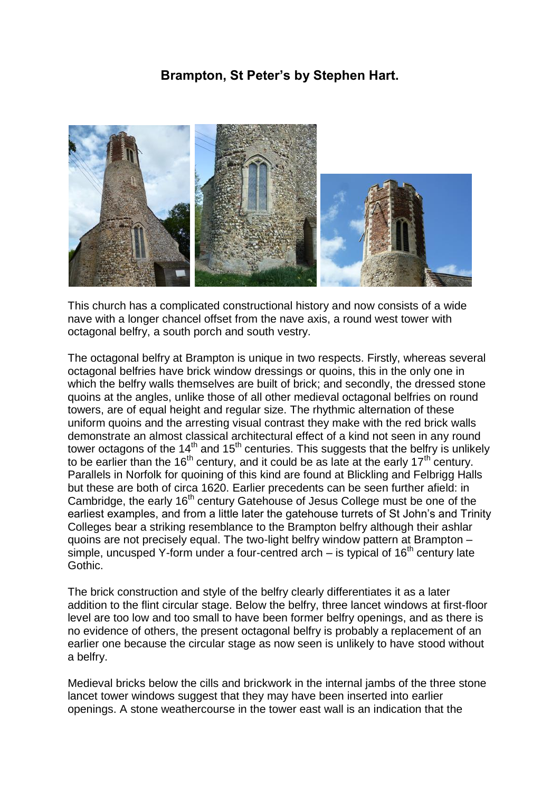## **Brampton, St Peter's by Stephen Hart.**



This church has a complicated constructional history and now consists of a wide nave with a longer chancel offset from the nave axis, a round west tower with octagonal belfry, a south porch and south vestry.

The octagonal belfry at Brampton is unique in two respects. Firstly, whereas several octagonal belfries have brick window dressings or quoins, this in the only one in which the belfry walls themselves are built of brick; and secondly, the dressed stone quoins at the angles, unlike those of all other medieval octagonal belfries on round towers, are of equal height and regular size. The rhythmic alternation of these uniform quoins and the arresting visual contrast they make with the red brick walls demonstrate an almost classical architectural effect of a kind not seen in any round tower octagons of the 14<sup>th</sup> and 15<sup>th</sup> centuries. This suggests that the belfry is unlikely to be earlier than the 16<sup>th</sup> century, and it could be as late at the early 17<sup>th</sup> century. Parallels in Norfolk for quoining of this kind are found at Blickling and Felbrigg Halls but these are both of circa 1620. Earlier precedents can be seen further afield: in Cambridge, the early 16<sup>th</sup> century Gatehouse of Jesus College must be one of the earliest examples, and from a little later the gatehouse turrets of St John's and Trinity Colleges bear a striking resemblance to the Brampton belfry although their ashlar quoins are not precisely equal. The two-light belfry window pattern at Brampton – simple, uncusped Y-form under a four-centred arch  $-$  is typical of 16<sup>th</sup> century late Gothic.

The brick construction and style of the belfry clearly differentiates it as a later addition to the flint circular stage. Below the belfry, three lancet windows at first-floor level are too low and too small to have been former belfry openings, and as there is no evidence of others, the present octagonal belfry is probably a replacement of an earlier one because the circular stage as now seen is unlikely to have stood without a belfry.

Medieval bricks below the cills and brickwork in the internal jambs of the three stone lancet tower windows suggest that they may have been inserted into earlier openings. A stone weathercourse in the tower east wall is an indication that the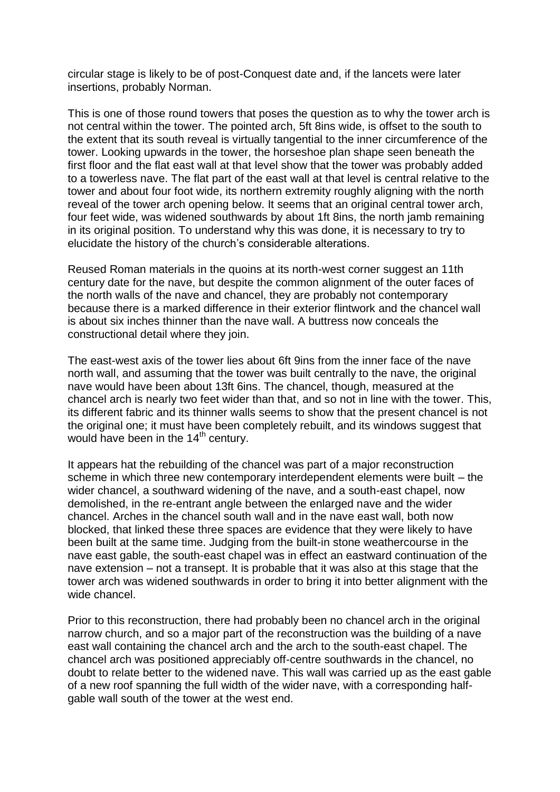circular stage is likely to be of post-Conquest date and, if the lancets were later insertions, probably Norman.

This is one of those round towers that poses the question as to why the tower arch is not central within the tower. The pointed arch, 5ft 8ins wide, is offset to the south to the extent that its south reveal is virtually tangential to the inner circumference of the tower. Looking upwards in the tower, the horseshoe plan shape seen beneath the first floor and the flat east wall at that level show that the tower was probably added to a towerless nave. The flat part of the east wall at that level is central relative to the tower and about four foot wide, its northern extremity roughly aligning with the north reveal of the tower arch opening below. It seems that an original central tower arch, four feet wide, was widened southwards by about 1ft 8ins, the north jamb remaining in its original position. To understand why this was done, it is necessary to try to elucidate the history of the church's considerable alterations.

Reused Roman materials in the quoins at its north-west corner suggest an 11th century date for the nave, but despite the common alignment of the outer faces of the north walls of the nave and chancel, they are probably not contemporary because there is a marked difference in their exterior flintwork and the chancel wall is about six inches thinner than the nave wall. A buttress now conceals the constructional detail where they join.

The east-west axis of the tower lies about 6ft 9ins from the inner face of the nave north wall, and assuming that the tower was built centrally to the nave, the original nave would have been about 13ft 6ins. The chancel, though, measured at the chancel arch is nearly two feet wider than that, and so not in line with the tower. This, its different fabric and its thinner walls seems to show that the present chancel is not the original one; it must have been completely rebuilt, and its windows suggest that would have been in the 14<sup>th</sup> century.

It appears hat the rebuilding of the chancel was part of a major reconstruction scheme in which three new contemporary interdependent elements were built – the wider chancel, a southward widening of the nave, and a south-east chapel, now demolished, in the re-entrant angle between the enlarged nave and the wider chancel. Arches in the chancel south wall and in the nave east wall, both now blocked, that linked these three spaces are evidence that they were likely to have been built at the same time. Judging from the built-in stone weathercourse in the nave east gable, the south-east chapel was in effect an eastward continuation of the nave extension – not a transept. It is probable that it was also at this stage that the tower arch was widened southwards in order to bring it into better alignment with the wide chancel.

Prior to this reconstruction, there had probably been no chancel arch in the original narrow church, and so a major part of the reconstruction was the building of a nave east wall containing the chancel arch and the arch to the south-east chapel. The chancel arch was positioned appreciably off-centre southwards in the chancel, no doubt to relate better to the widened nave. This wall was carried up as the east gable of a new roof spanning the full width of the wider nave, with a corresponding halfgable wall south of the tower at the west end.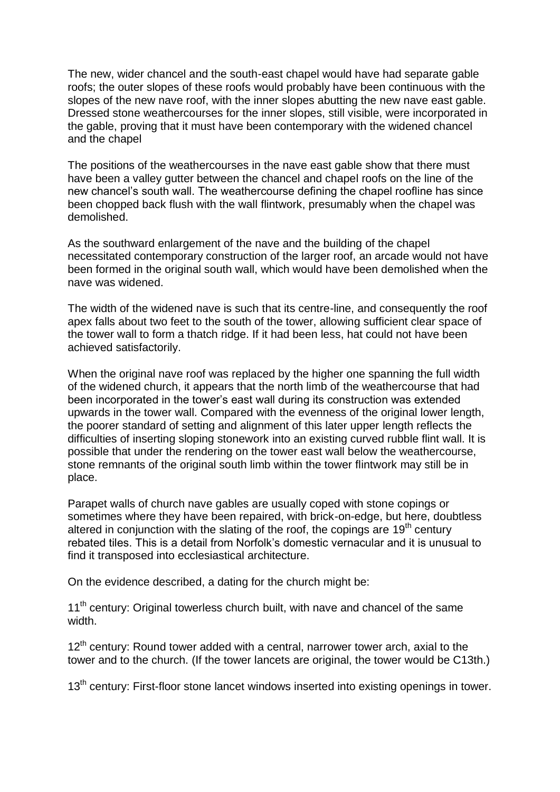The new, wider chancel and the south-east chapel would have had separate gable roofs; the outer slopes of these roofs would probably have been continuous with the slopes of the new nave roof, with the inner slopes abutting the new nave east gable. Dressed stone weathercourses for the inner slopes, still visible, were incorporated in the gable, proving that it must have been contemporary with the widened chancel and the chapel

The positions of the weathercourses in the nave east gable show that there must have been a valley gutter between the chancel and chapel roofs on the line of the new chancel's south wall. The weathercourse defining the chapel roofline has since been chopped back flush with the wall flintwork, presumably when the chapel was demolished.

As the southward enlargement of the nave and the building of the chapel necessitated contemporary construction of the larger roof, an arcade would not have been formed in the original south wall, which would have been demolished when the nave was widened.

The width of the widened nave is such that its centre-line, and consequently the roof apex falls about two feet to the south of the tower, allowing sufficient clear space of the tower wall to form a thatch ridge. If it had been less, hat could not have been achieved satisfactorily.

When the original nave roof was replaced by the higher one spanning the full width of the widened church, it appears that the north limb of the weathercourse that had been incorporated in the tower's east wall during its construction was extended upwards in the tower wall. Compared with the evenness of the original lower length, the poorer standard of setting and alignment of this later upper length reflects the difficulties of inserting sloping stonework into an existing curved rubble flint wall. It is possible that under the rendering on the tower east wall below the weathercourse, stone remnants of the original south limb within the tower flintwork may still be in place.

Parapet walls of church nave gables are usually coped with stone copings or sometimes where they have been repaired, with brick-on-edge, but here, doubtless altered in conjunction with the slating of the roof, the copings are  $19<sup>th</sup>$  century rebated tiles. This is a detail from Norfolk's domestic vernacular and it is unusual to find it transposed into ecclesiastical architecture.

On the evidence described, a dating for the church might be:

11<sup>th</sup> century: Original towerless church built, with nave and chancel of the same width.

12<sup>th</sup> century: Round tower added with a central, narrower tower arch, axial to the tower and to the church. (If the tower lancets are original, the tower would be C13th.)

13<sup>th</sup> century: First-floor stone lancet windows inserted into existing openings in tower.